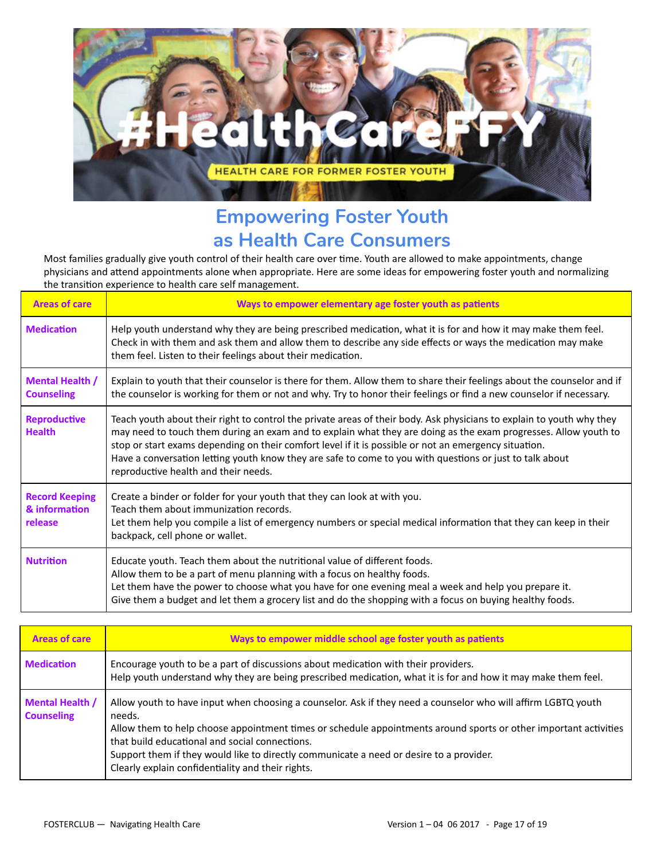

## **Empowering Foster Youth as Health Care Consumers**

Most families gradually give youth control of their health care over time. Youth are allowed to make appointments, change physicians and attend appointments alone when appropriate. Here are some ideas for empowering foster youth and normalizing the transition experience to health care self management.

| <b>Areas of care</b>                              | Ways to empower elementary age foster youth as patients                                                                                                                                                                                                                                                                                                                                                                                                                                               |
|---------------------------------------------------|-------------------------------------------------------------------------------------------------------------------------------------------------------------------------------------------------------------------------------------------------------------------------------------------------------------------------------------------------------------------------------------------------------------------------------------------------------------------------------------------------------|
| <b>Medication</b>                                 | Help youth understand why they are being prescribed medication, what it is for and how it may make them feel.<br>Check in with them and ask them and allow them to describe any side effects or ways the medication may make<br>them feel. Listen to their feelings about their medication.                                                                                                                                                                                                           |
| <b>Mental Health /</b><br><b>Counseling</b>       | Explain to youth that their counselor is there for them. Allow them to share their feelings about the counselor and if<br>the counselor is working for them or not and why. Try to honor their feelings or find a new counselor if necessary.                                                                                                                                                                                                                                                         |
| <b>Reproductive</b><br><b>Health</b>              | Teach youth about their right to control the private areas of their body. Ask physicians to explain to youth why they<br>may need to touch them during an exam and to explain what they are doing as the exam progresses. Allow youth to<br>stop or start exams depending on their comfort level if it is possible or not an emergency situation.<br>Have a conversation letting youth know they are safe to come to you with questions or just to talk about<br>reproductive health and their needs. |
| <b>Record Keeping</b><br>& information<br>release | Create a binder or folder for your youth that they can look at with you.<br>Teach them about immunization records.<br>Let them help you compile a list of emergency numbers or special medical information that they can keep in their<br>backpack, cell phone or wallet.                                                                                                                                                                                                                             |
| <b>Nutrition</b>                                  | Educate youth. Teach them about the nutritional value of different foods.<br>Allow them to be a part of menu planning with a focus on healthy foods.<br>Let them have the power to choose what you have for one evening meal a week and help you prepare it.<br>Give them a budget and let them a grocery list and do the shopping with a focus on buying healthy foods.                                                                                                                              |

| <b>Areas of care</b>                        | Ways to empower middle school age foster youth as patients                                                                                                                                                                                                                                                                                                                                                                                    |
|---------------------------------------------|-----------------------------------------------------------------------------------------------------------------------------------------------------------------------------------------------------------------------------------------------------------------------------------------------------------------------------------------------------------------------------------------------------------------------------------------------|
| <b>Medication</b>                           | Encourage youth to be a part of discussions about medication with their providers.<br>Help youth understand why they are being prescribed medication, what it is for and how it may make them feel.                                                                                                                                                                                                                                           |
| <b>Mental Health /</b><br><b>Counseling</b> | Allow youth to have input when choosing a counselor. Ask if they need a counselor who will affirm LGBTQ youth<br>needs.<br>Allow them to help choose appointment times or schedule appointments around sports or other important activities<br>that build educational and social connections.<br>Support them if they would like to directly communicate a need or desire to a provider.<br>Clearly explain confidentiality and their rights. |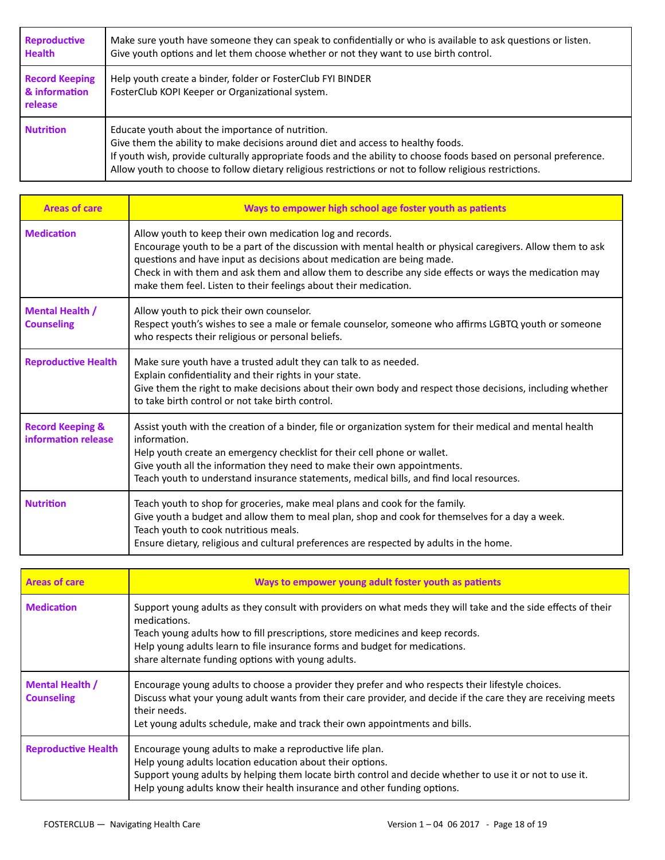| <b>Reproductive</b><br><b>Health</b>              | Make sure youth have someone they can speak to confidentially or who is available to ask questions or listen.<br>Give youth options and let them choose whether or not they want to use birth control.                                                                                                                                                               |
|---------------------------------------------------|----------------------------------------------------------------------------------------------------------------------------------------------------------------------------------------------------------------------------------------------------------------------------------------------------------------------------------------------------------------------|
| <b>Record Keeping</b><br>& information<br>release | Help youth create a binder, folder or FosterClub FYI BINDER<br>FosterClub KOPI Keeper or Organizational system.                                                                                                                                                                                                                                                      |
| <b>Nutrition</b>                                  | Educate youth about the importance of nutrition.<br>Give them the ability to make decisions around diet and access to healthy foods.<br>If youth wish, provide culturally appropriate foods and the ability to choose foods based on personal preference.<br>Allow youth to choose to follow dietary religious restrictions or not to follow religious restrictions. |

| <b>Areas of care</b>                               | Ways to empower high school age foster youth as patients                                                                                                                                                                                                                                                                                                                                                                         |
|----------------------------------------------------|----------------------------------------------------------------------------------------------------------------------------------------------------------------------------------------------------------------------------------------------------------------------------------------------------------------------------------------------------------------------------------------------------------------------------------|
| <b>Medication</b>                                  | Allow youth to keep their own medication log and records.<br>Encourage youth to be a part of the discussion with mental health or physical caregivers. Allow them to ask<br>questions and have input as decisions about medication are being made.<br>Check in with them and ask them and allow them to describe any side effects or ways the medication may<br>make them feel. Listen to their feelings about their medication. |
| <b>Mental Health /</b><br><b>Counseling</b>        | Allow youth to pick their own counselor.<br>Respect youth's wishes to see a male or female counselor, someone who affirms LGBTQ youth or someone<br>who respects their religious or personal beliefs.                                                                                                                                                                                                                            |
| <b>Reproductive Health</b>                         | Make sure youth have a trusted adult they can talk to as needed.<br>Explain confidentiality and their rights in your state.<br>Give them the right to make decisions about their own body and respect those decisions, including whether<br>to take birth control or not take birth control.                                                                                                                                     |
| <b>Record Keeping &amp;</b><br>information release | Assist youth with the creation of a binder, file or organization system for their medical and mental health<br>information.<br>Help youth create an emergency checklist for their cell phone or wallet.<br>Give youth all the information they need to make their own appointments.<br>Teach youth to understand insurance statements, medical bills, and find local resources.                                                  |
| <b>Nutrition</b>                                   | Teach youth to shop for groceries, make meal plans and cook for the family.<br>Give youth a budget and allow them to meal plan, shop and cook for themselves for a day a week.<br>Teach youth to cook nutritious meals.<br>Ensure dietary, religious and cultural preferences are respected by adults in the home.                                                                                                               |

| <b>Areas of care</b>                        | Ways to empower young adult foster youth as patients                                                                                                                                                                                                                                                                                                  |
|---------------------------------------------|-------------------------------------------------------------------------------------------------------------------------------------------------------------------------------------------------------------------------------------------------------------------------------------------------------------------------------------------------------|
| <b>Medication</b>                           | Support young adults as they consult with providers on what meds they will take and the side effects of their<br>medications.<br>Teach young adults how to fill prescriptions, store medicines and keep records.<br>Help young adults learn to file insurance forms and budget for medications.<br>share alternate funding options with young adults. |
| <b>Mental Health /</b><br><b>Counseling</b> | Encourage young adults to choose a provider they prefer and who respects their lifestyle choices.<br>Discuss what your young adult wants from their care provider, and decide if the care they are receiving meets<br>their needs.<br>Let young adults schedule, make and track their own appointments and bills.                                     |
| <b>Reproductive Health</b>                  | Encourage young adults to make a reproductive life plan.<br>Help young adults location education about their options.<br>Support young adults by helping them locate birth control and decide whether to use it or not to use it.<br>Help young adults know their health insurance and other funding options.                                         |